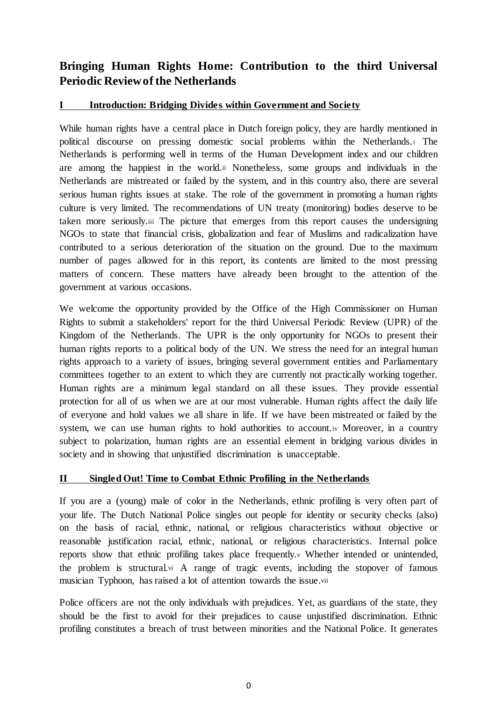# **Bringing Human Rights Home: Contribution to the third Universal Periodic Review of the Netherlands**

## **I Introduction: Bridging Divides within Government and Society**

While human rights have a central place in Dutch foreign policy, they are hardly mentioned in political discourse on pressing domestic social problems within the Netherlands.<sup>i</sup> The Netherlands is performing well in terms of the Human Development index and our children are among the happiest in the world.ii Nonetheless, some groups and individuals in the Netherlands are mistreated or failed by the system, and in this country also, there are several serious human rights issues at stake. The role of the government in promoting a human rights culture is very limited. The recommendations of UN treaty (monitoring) bodies deserve to be taken more seriously.iii The picture that emerges from this report causes the undersigning NGOs to state that financial crisis, globalization and fear of Muslims and radicalization have contributed to a serious deterioration of the situation on the ground. Due to the maximum number of pages allowed for in this report, its contents are limited to the most pressing matters of concern. These matters have already been brought to the attention of the government at various occasions.

We welcome the opportunity provided by the Office of the High Commissioner on Human Rights to submit a stakeholders' report for the third Universal Periodic Review (UPR) of the Kingdom of the Netherlands. The UPR is the only opportunity for NGOs to present their human rights reports to a political body of the UN. We stress the need for an integral human rights approach to a variety of issues, bringing several government entities and Parliamentary committees together to an extent to which they are currently not practically working together. Human rights are a minimum legal standard on all these issues. They provide essential protection for all of us when we are at our most vulnerable. Human rights affect the daily life of everyone and hold values we all share in life. If we have been mistreated or failed by the system, we can use human rights to hold authorities to account. W Moreover, in a country subject to polarization, human rights are an essential element in bridging various divides in society and in showing that unjustified discrimination is unacceptable.

## **II Singled Out! Time to Combat Ethnic Profiling in the Netherlands**

If you are a (young) male of color in the Netherlands, ethnic profiling is very often part of your life. The Dutch National Police singles out people for identity or security checks (also) on the basis of racial, ethnic, national, or religious characteristics without objective or reasonable justification racial, ethnic, national, or religious characteristics. Internal police reports show that ethnic profiling takes place frequently.<sup>v</sup> Whether intended or unintended, the problem is structural.vi A range of tragic events, including the stopover of famous musician Typhoon, has raised a lot of attention towards the issue.vii

Police officers are not the only individuals with prejudices. Yet, as guardians of the state, they should be the first to avoid for their prejudices to cause unjustified discrimination. Ethnic profiling constitutes a breach of trust between minorities and the National Police. It generates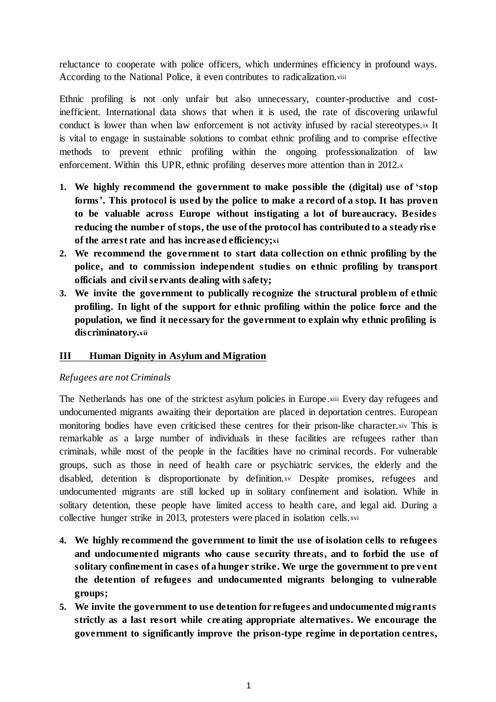reluctance to cooperate with police officers, which undermines efficiency in profound ways. According to the National Police, it even contributes to radicalization.viii

Ethnic profiling is not only unfair but also unnecessary, counter-productive and costinefficient. International data shows that when it is used, the rate of discovering unlawful conduct is lower than when law enforcement is not activity infused by racial stereotypes.ix It is vital to engage in sustainable solutions to combat ethnic profiling and to comprise effective methods to prevent ethnic profiling within the ongoing professionalization of law enforcement. Within this UPR, ethnic profiling deserves more attention than in 2012.x

- **1. We highly recommend the government to make possible the (digital) use of 'stop forms'. This protocol is used by the police to make a record of a stop. It has proven to be valuable across Europe without instigating a lot of bureaucracy. Besides reducing the number of stops, the use of the protocol has contributed to a steady ris e of the arrest rate and has increased efficiency;xi**
- **2. We recommend the government to start data collection on ethnic profiling by the police, and to commission independent studies on ethnic profiling by transport officials and civil servants dealing with safety;**
- **3. We invite the government to publically recognize the structural problem of ethnic profiling. In light of the support for ethnic profiling within the police force and the population, we find it necessary for the government to explain why ethnic profiling is discriminatory.xii**

## **III Human Dignity in Asylum and Migration**

#### *Refugees are not Criminals*

The Netherlands has one of the strictest asylum policies in Europe.xiii Every day refugees and undocumented migrants awaiting their deportation are placed in deportation centres. European monitoring bodies have even criticised these centres for their prison-like character.xiv This is remarkable as a large number of individuals in these facilities are refugees rather than criminals, while most of the people in the facilities have no criminal records. For vulnerable groups, such as those in need of health care or psychiatric services, the elderly and the disabled, detention is disproportionate by definition.xv Despite promises, refugees and undocumented migrants are still locked up in solitary confinement and isolation. While in solitary detention, these people have limited access to health care, and legal aid. During a collective hunger strike in 2013, protesters were placed in isolation cells.xvi

- **4. We highly recommend the government to limit the use of isolation cells to refugees and undocumented migrants who cause security threats, and to forbid the use of solitary confinement in cases of a hunger strike. We urge the government to pre vent the detention of refugees and undocumented migrants belonging to vulnerable groups;**
- **5. We invite the government to use detention for refugees and undocumented migrants strictly as a last resort while creating appropriate alternatives. We encourage the government to significantly improve the prison-type regime in deportation centres,**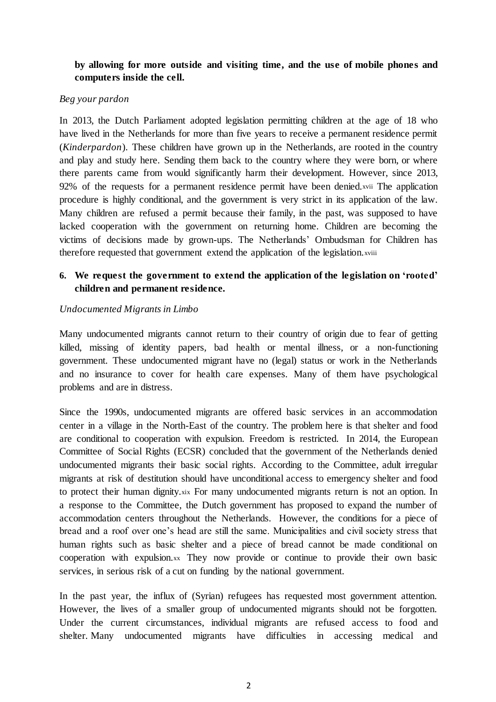## **by allowing for more outside and visiting time, and the use of mobile phones and computers inside the cell.**

#### *Beg your pardon*

In 2013, the Dutch Parliament adopted legislation permitting children at the age of 18 who have lived in the Netherlands for more than five years to receive a permanent residence permit (*Kinderpardon*). These children have grown up in the Netherlands, are rooted in the country and play and study here. Sending them back to the country where they were born, or where there parents came from would significantly harm their development. However, since 2013, 92% of the requests for a permanent residence permit have been denied.xvii The application procedure is highly conditional, and the government is very strict in its application of the law. Many children are refused a permit because their family, in the past, was supposed to have lacked cooperation with the government on returning home. Children are becoming the victims of decisions made by grown-ups. The Netherlands' Ombudsman for Children has therefore requested that government extend the application of the legislation.xviii

## **6. We request the government to extend the application of the legislation on 'rooted' children and permanent residence.**

#### *Undocumented Migrants in Limbo*

Many undocumented migrants cannot return to their country of origin due to fear of getting killed, missing of identity papers, bad health or mental illness, or a non-functioning government. These undocumented migrant have no (legal) status or work in the Netherlands and no insurance to cover for health care expenses. Many of them have psychological problems and are in distress.

Since the 1990s, undocumented migrants are offered basic services in an accommodation center in a village in the North-East of the country. The problem here is that shelter and food are conditional to cooperation with expulsion. Freedom is restricted. In 2014, the European Committee of Social Rights (ECSR) concluded that the government of the Netherlands denied undocumented migrants their basic social rights. According to the Committee, adult irregular migrants at risk of destitution should have unconditional access to emergency shelter and food to protect their human dignity, xix For many undocumented migrants return is not an option. In a response to the Committee, the Dutch government has proposed to expand the number of accommodation centers throughout the Netherlands. However, the conditions for a piece of bread and a roof over one's head are still the same. Municipalities and civil society stress that human rights such as basic shelter and a piece of bread cannot be made conditional on cooperation with expulsion.xx They now provide or continue to provide their own basic services, in serious risk of a cut on funding by the national government.

In the past year, the influx of (Syrian) refugees has requested most government attention. However, the lives of a smaller group of undocumented migrants should not be forgotten. Under the current circumstances, individual migrants are refused access to food and shelter. Many undocumented migrants have difficulties in accessing medical and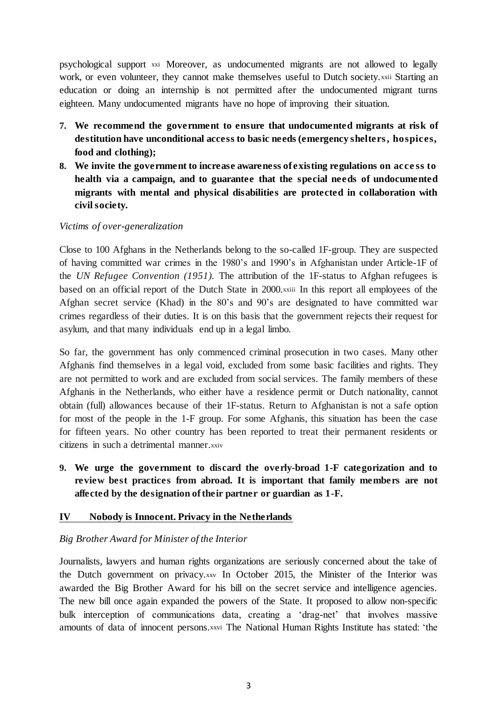psychological support xxi Moreover, as undocumented migrants are not allowed to legally work, or even volunteer, they cannot make themselves useful to Dutch society.xxii Starting an education or doing an internship is not permitted after the undocumented migrant turns eighteen. Many undocumented migrants have no hope of improving their situation.

- **7. We recommend the government to ensure that undocumented migrants at risk of destitution have unconditional access to basic needs (emergency shelters , hospices, food and clothing);**
- **8. We invite the government to increase awareness of existing regulations on acce ss to health via a campaign, and to guarantee that the special needs of undocumented migrants with mental and physical disabilities are protected in collaboration with civil society.**

#### *Victims of over-generalization*

Close to 100 Afghans in the Netherlands belong to the so-called 1F-group. They are suspected of having committed war crimes in the 1980's and 1990's in Afghanistan under Article-1F of the *UN Refugee Convention (1951).* The attribution of the 1F-status to Afghan refugees is based on an official report of the Dutch State in 2000.xxiii In this report all employees of the Afghan secret service (Khad) in the 80's and 90's are designated to have committed war crimes regardless of their duties. It is on this basis that the government rejects their request for asylum, and that many individuals end up in a legal limbo.

So far, the government has only commenced criminal prosecution in two cases. Many other Afghanis find themselves in a legal void, excluded from some basic facilities and rights. They are not permitted to work and are excluded from social services. The family members of these Afghanis in the Netherlands, who either have a residence permit or Dutch nationality, cannot obtain (full) allowances because of their 1F-status. Return to Afghanistan is not a safe option for most of the people in the 1-F group. For some Afghanis, this situation has been the case for fifteen years. No other country has been reported to treat their permanent residents or citizens in such a detrimental manner.xxiv

**9. We urge the government to discard the overly-broad 1-F categorization and to review best practices from abroad. It is important that family members are not affected by the designation of their partner or guardian as 1-F.**

## **IV Nobody is Innocent. Privacy in the Netherlands**

## *Big Brother Award for Minister of the Interior*

Journalists, lawyers and human rights organizations are seriously concerned about the take of the Dutch government on privacy.xxv In October 2015, the Minister of the Interior was awarded the Big Brother Award for his bill on the secret service and intelligence agencies. The new bill once again expanded the powers of the State. It proposed to allow non-specific bulk interception of communications data, creating a 'drag-net' that involves massive amounts of data of innocent persons.xxvi The National Human Rights Institute has stated: 'the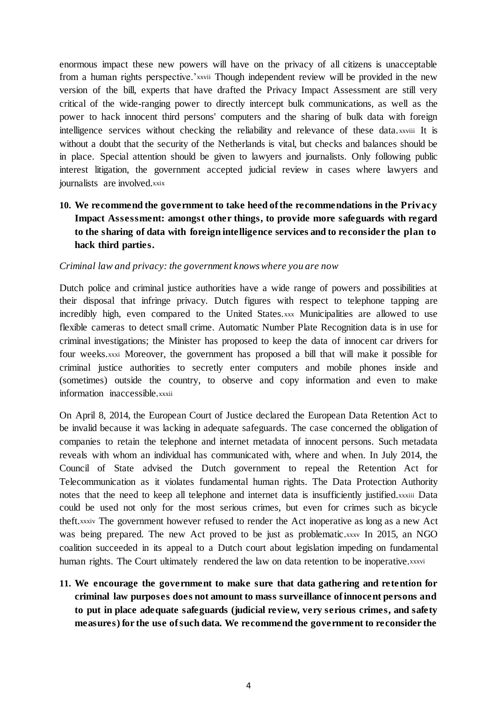enormous impact these new powers will have on the privacy of all citizens is unacceptable from a human rights perspective.'xxvii Though independent review will be provided in the new version of the bill, experts that have drafted the Privacy Impact Assessment are still very critical of the wide-ranging power to directly intercept bulk communications, as well as the power to hack innocent third persons' computers and the sharing of bulk data with foreign intelligence services without checking the reliability and relevance of these data. xxviii It is without a doubt that the security of the Netherlands is vital, but checks and balances should be in place. Special attention should be given to lawyers and journalists. Only following public interest litigation, the government accepted judicial review in cases where lawyers and journalists are involved.xxix

## **10. We recommend the government to take heed of the recommendations in the Privacy Impact Assessment: amongst other things, to provide more safeguards with regard to the sharing of data with foreign intelligence services and to reconsider the plan to hack third parties.**

#### *Criminal law and privacy: the government knows where you are now*

Dutch police and criminal justice authorities have a wide range of powers and possibilities at their disposal that infringe privacy. Dutch figures with respect to telephone tapping are incredibly high, even compared to the United States.xxx Municipalities are allowed to use flexible cameras to detect small crime. Automatic Number Plate Recognition data is in use for criminal investigations; the Minister has proposed to keep the data of innocent car drivers for four weeks.xxxi Moreover, the government has proposed a bill that will make it possible for criminal justice authorities to secretly enter computers and mobile phones inside and (sometimes) outside the country, to observe and copy information and even to make information inaccessible.xxxii

On April 8, 2014, the European Court of Justice declared the European Data Retention Act to be invalid because it was lacking in adequate safeguards. The case concerned the obligation of companies to retain the telephone and internet metadata of innocent persons. Such metadata reveals with whom an individual has communicated with, where and when. In July 2014, the Council of State advised the Dutch government to repeal the Retention Act for Telecommunication as it violates fundamental human rights. The Data Protection Authority notes that the need to keep all telephone and internet data is insufficiently justified.xxxiii Data could be used not only for the most serious crimes, but even for crimes such as bicycle theft.xxxiv The government however refused to render the Act inoperative as long as a new Act was being prepared. The new Act proved to be just as problematic.xxxv In 2015, an NGO coalition succeeded in its appeal to a Dutch court about legislation impeding on fundamental human rights. The Court ultimately rendered the law on data retention to be inoperative.xxxvi

**11. We encourage the government to make sure that data gathering and retention for criminal law purposes does not amount to mass surveillance of innocent persons and to put in place adequate safeguards (judicial review, very serious crimes, and safety measures) for the use of such data. We recommend the government to reconsider the**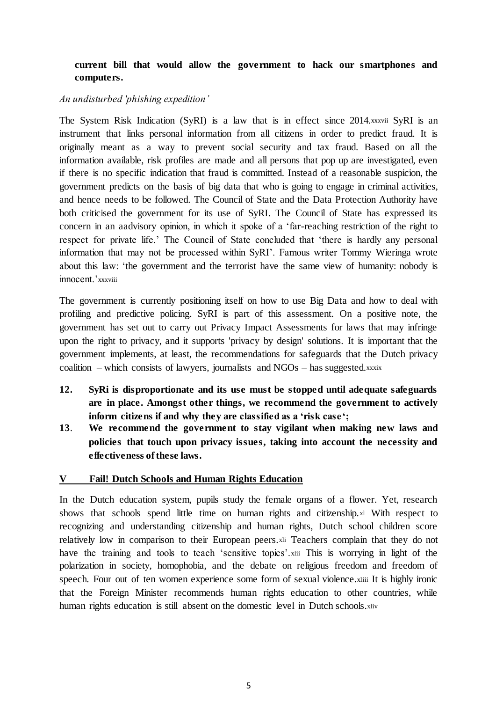## **current bill that would allow the government to hack our smartphones and computers.**

#### *An undisturbed 'phishing expedition'*

The System Risk Indication (SyRI) is a law that is in effect since 2014.xxxvii SyRI is an instrument that links personal information from all citizens in order to predict fraud. It is originally meant as a way to prevent social security and tax fraud. Based on all the information available, risk profiles are made and all persons that pop up are investigated, even if there is no specific indication that fraud is committed. Instead of a reasonable suspicion, the government predicts on the basis of big data that who is going to engage in criminal activities, and hence needs to be followed. The Council of State and the Data Protection Authority have both criticised the government for its use of SyRI. The Council of State has expressed its concern in an aadvisory opinion, in which it spoke of a 'far-reaching restriction of the right to respect for private life.' The Council of State concluded that 'there is hardly any personal information that may not be processed within SyRI'. Famous writer Tommy Wieringa wrote about this law: 'the government and the terrorist have the same view of humanity: nobody is innocent.'xxxviii

The government is currently positioning itself on how to use Big Data and how to deal with profiling and predictive policing. SyRI is part of this assessment. On a positive note, the government has set out to carry out Privacy Impact Assessments for laws that may infringe upon the right to privacy, and it supports 'privacy by design' solutions. It is important that the government implements, at least, the recommendations for safeguards that the Dutch privacy coalition – which consists of lawyers, journalists and  $NGOs$  – has suggested.xxxix

- **12. SyRi is disproportionate and its use must be stopped until adequate safeguards are in place. Amongst other things, we recommend the government to actively inform citizens if and why they are classified as a 'risk case';**
- **13**. **We recommend the government to stay vigilant when making new laws and policies that touch upon privacy issues, taking into account the necessity and effectiveness of these laws.**

## **V Fail! Dutch Schools and Human Rights Education**

In the Dutch education system, pupils study the female organs of a flower. Yet, research shows that schools spend little time on human rights and citizenship.xl With respect to recognizing and understanding citizenship and human rights, Dutch school children score relatively low in comparison to their European peers.xli Teachers complain that they do not have the training and tools to teach 'sensitive topics'.xlii This is worrying in light of the polarization in society, homophobia, and the debate on religious freedom and freedom of speech. Four out of ten women experience some form of sexual violence.xliii It is highly ironic that the Foreign Minister recommends human rights education to other countries, while human rights education is still absent on the domestic level in Dutch schools.xliv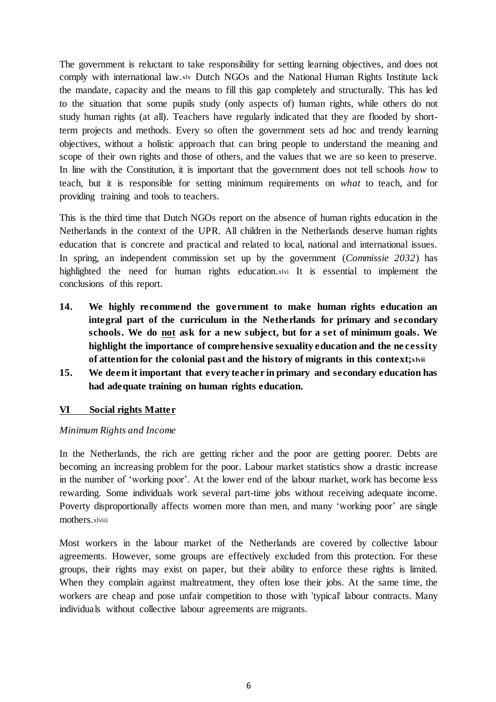The government is reluctant to take responsibility for setting learning objectives, and does not comply with international law.xlv Dutch NGOs and the National Human Rights Institute lack the mandate, capacity and the means to fill this gap completely and structurally. This has led to the situation that some pupils study (only aspects of) human rights, while others do not study human rights (at all). Teachers have regularly indicated that they are flooded by shortterm projects and methods. Every so often the government sets ad hoc and trendy learning objectives, without a holistic approach that can bring people to understand the meaning and scope of their own rights and those of others, and the values that we are so keen to preserve. In line with the Constitution, it is important that the government does not tell schools *how* to teach, but it is responsible for setting minimum requirements on *what* to teach, and for providing training and tools to teachers.

This is the third time that Dutch NGOs report on the absence of human rights education in the Netherlands in the context of the UPR. All children in the Netherlands deserve human rights education that is concrete and practical and related to local, national and international issues. In spring, an independent commission set up by the government (*Commissie 2032*) has highlighted the need for human rights education.xlvi It is essential to implement the conclusions of this report.

- **14. We highly recommend the government to make human rights education an integral part of the curriculum in the Netherlands for primary and secondary schools. We do not ask for a new subject, but for a set of minimum goals. We highlight the importance of comprehensive sexuality education and the ne cessity of attention for the colonial past and the history of migrants in this context;xlvii**
- **15. We deem it important that every teacher in primary and secondary education has had adequate training on human rights education.**

## **VI Social rights Matter**

#### *Minimum Rights and Income*

In the Netherlands, the rich are getting richer and the poor are getting poorer. Debts are becoming an increasing problem for the poor. Labour market statistics show a drastic increase in the number of 'working poor'. At the lower end of the labour market, work has become less rewarding. Some individuals work several part-time jobs without receiving adequate income. Poverty disproportionally affects women more than men, and many 'working poor' are single mothers.xlviii

Most workers in the labour market of the Netherlands are covered by collective labour agreements. However, some groups are effectively excluded from this protection. For these groups, their rights may exist on paper, but their ability to enforce these rights is limited. When they complain against maltreatment, they often lose their jobs. At the same time, the workers are cheap and pose unfair competition to those with 'typical' labour contracts. Many individuals without collective labour agreements are migrants.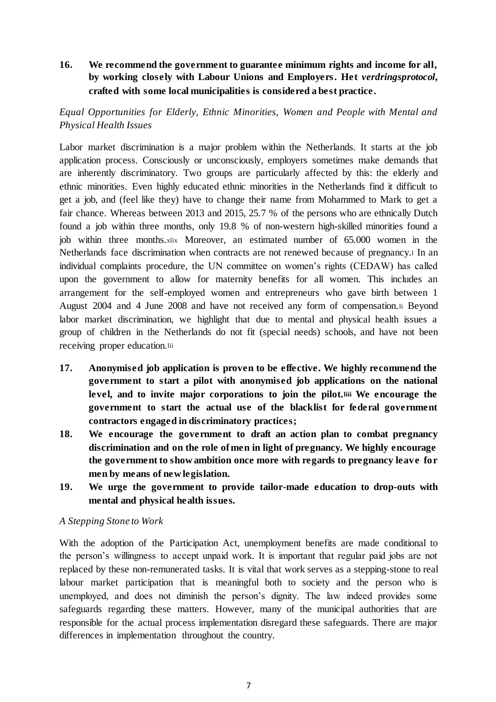## **16. We recommend the government to guarantee minimum rights and income for all, by working closely with Labour Unions and Employers. Het** *verdringsprotocol***, crafted with some local municipalities is considered a best practice.**

## *Equal Opportunities for Elderly, Ethnic Minorities, Women and People with Mental and Physical Health Issues*

Labor market discrimination is a major problem within the Netherlands. It starts at the job application process. Consciously or unconsciously, employers sometimes make demands that are inherently discriminatory. Two groups are particularly affected by this: the elderly and ethnic minorities. Even highly educated ethnic minorities in the Netherlands find it difficult to get a job, and (feel like they) have to change their name from Mohammed to Mark to get a fair chance. Whereas between 2013 and 2015, 25.7 % of the persons who are ethnically Dutch found a job within three months, only 19.8 % of non-western high-skilled minorities found a job within three months.xlix Moreover, an estimated number of 65.000 women in the Netherlands face discrimination when contracts are not renewed because of pregnancy.<sup>l</sup> In an individual complaints procedure, the UN committee on women's rights (CEDAW) has called upon the government to allow for maternity benefits for all women. This includes an arrangement for the self-employed women and entrepreneurs who gave birth between 1 August 2004 and 4 June 2008 and have not received any form of compensation.li Beyond labor market discrimination, we highlight that due to mental and physical health issues a group of children in the Netherlands do not fit (special needs) schools, and have not been receiving proper education.lii

- **17. Anonymised job application is proven to be effective. We highly recommend the government to start a pilot with anonymised job applications on the national level, and to invite major corporations to join the pilot.liii We encourage the government to start the actual use of the blacklist for federal government contractors engaged in discriminatory practices;**
- **18. We encourage the government to draft an action plan to combat pregnancy discrimination and on the role of men in light of pregnancy. We highly encourage the government to show ambition once more with regards to pregnancy leave for men by means of new legislation.**
- **19. We urge the government to provide tailor-made education to drop-outs with mental and physical health issues.**

## *A Stepping Stone to Work*

With the adoption of the Participation Act, unemployment benefits are made conditional to the person's willingness to accept unpaid work. It is important that regular paid jobs are not replaced by these non-remunerated tasks. It is vital that work serves as a stepping-stone to real labour market participation that is meaningful both to society and the person who is unemployed, and does not diminish the person's dignity. The law indeed provides some safeguards regarding these matters. However, many of the municipal authorities that are responsible for the actual process implementation disregard these safeguards. There are major differences in implementation throughout the country.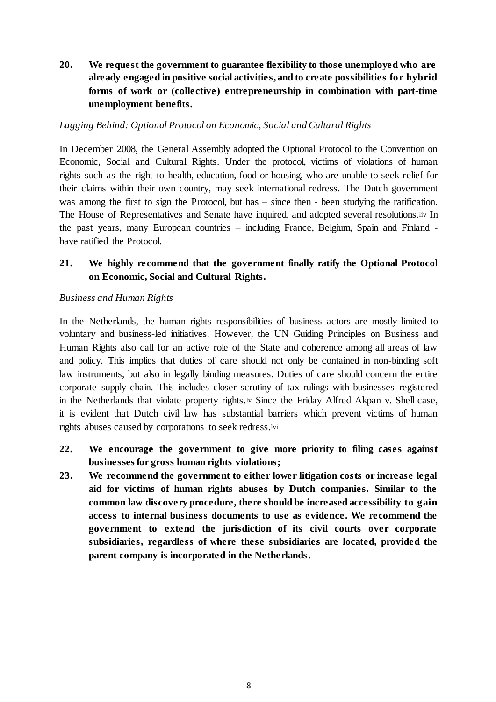**20. We request the government to guarantee flexibility to those unemployed who are already engaged in positive social activities, and to create possibilities for hybrid forms of work or (collective) entrepreneurship in combination with part-time unemployment benefits.**

#### *Lagging Behind: Optional Protocol on Economic, Social and Cultural Rights*

In December 2008, the General Assembly adopted the Optional Protocol to the Convention on Economic, Social and Cultural Rights. Under the protocol, victims of violations of human rights such as the right to health, education, food or housing, who are unable to seek relief for their claims within their own country, may seek international redress. The Dutch government was among the first to sign the Protocol, but has – since then - been studying the ratification. The House of Representatives and Senate have inquired, and adopted several resolutions.liv In the past years, many European countries – including France, Belgium, Spain and Finland have ratified the Protocol.

## **21. We highly recommend that the government finally ratify the Optional Protocol on Economic, Social and Cultural Rights.**

#### *Business and Human Rights*

In the Netherlands, the human rights responsibilities of business actors are mostly limited to voluntary and business-led initiatives. However, the UN Guiding Principles on Business and Human Rights also call for an active role of the State and coherence among all areas of law and policy. This implies that duties of care should not only be contained in non-binding soft law instruments, but also in legally binding measures. Duties of care should concern the entire corporate supply chain. This includes closer scrutiny of tax rulings with businesses registered in the Netherlands that violate property rights.lv Since the Friday Alfred Akpan v. Shell case, it is evident that Dutch civil law has substantial barriers which prevent victims of human rights abuses caused by corporations to seek redress.lvi

- **22. We encourage the government to give more priority to filing cases against businesses for gross human rights violations;**
- **23. We recommend the government to either lower litigation costs or increase legal aid for victims of human rights abuses by Dutch companies. Similar to the common law discovery procedure, there should be increased accessibility to gain access to internal business documents to use as evidence. We recommend the government to extend the jurisdiction of its civil courts over corporate subsidiaries, regardless of where these subsidiaries are located, provided the parent company is incorporated in the Netherlands.**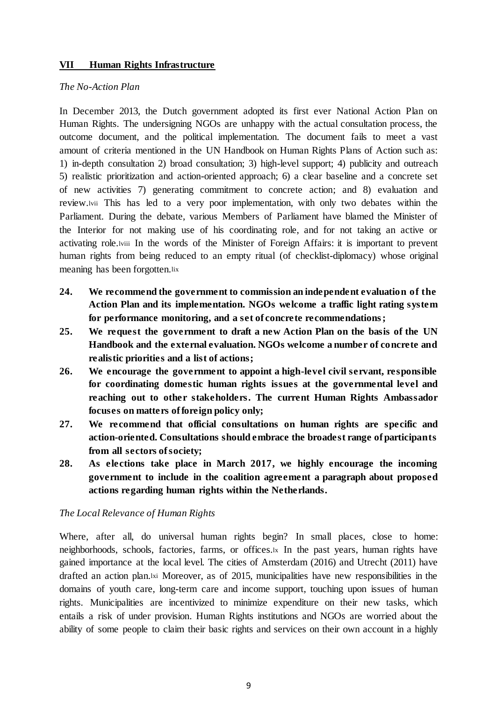#### **VII Human Rights Infrastructure**

#### *The No-Action Plan*

In December 2013, the Dutch government adopted its first ever National Action Plan on Human Rights. The undersigning NGOs are unhappy with the actual consultation process, the outcome document, and the political implementation. The document fails to meet a vast amount of criteria mentioned in the UN Handbook on Human Rights Plans of Action such as: 1) in-depth consultation 2) broad consultation; 3) high-level support; 4) publicity and outreach 5) realistic prioritization and action-oriented approach; 6) a clear baseline and a concrete set of new activities 7) generating commitment to concrete action; and 8) evaluation and review.lvii This has led to a very poor implementation, with only two debates within the Parliament. During the debate, various Members of Parliament have blamed the Minister of the Interior for not making use of his coordinating role, and for not taking an active or activating role.lviii In the words of the Minister of Foreign Affairs: it is important to prevent human rights from being reduced to an empty ritual (of checklist-diplomacy) whose original meaning has been forgotten.lix

- **24. We recommend the government to commission an independent evaluation of the Action Plan and its implementation. NGOs welcome a traffic light rating system for performance monitoring, and a set of concrete recommendations;**
- **25. We request the government to draft a new Action Plan on the basis of the UN Handbook and the external evaluation. NGOs welcome a number of concrete and realistic priorities and a list of actions;**
- **26. We encourage the government to appoint a high-level civil servant, responsible for coordinating domestic human rights issues at the governmental level and reaching out to other stakeholders. The current Human Rights Ambassador focuses on matters of foreign policy only;**
- **27. We recommend that official consultations on human rights are specific and action-oriented. Consultations should embrace the broadest range of participants from all sectors of society;**
- **28. As elections take place in March 2017, we highly encourage the incoming government to include in the coalition agreement a paragraph about proposed actions regarding human rights within the Netherlands.**

## *The Local Relevance of Human Rights*

Where, after all, do universal human rights begin? In small places, close to home: neighborhoods, schools, factories, farms, or offices.lx In the past years, human rights have gained importance at the local level. The cities of Amsterdam (2016) and Utrecht (2011) have drafted an action plan.lxi Moreover, as of 2015, municipalities have new responsibilities in the domains of youth care, long-term care and income support, touching upon issues of human rights. Municipalities are incentivized to minimize expenditure on their new tasks, which entails a risk of under provision. Human Rights institutions and NGOs are worried about the ability of some people to claim their basic rights and services on their own account in a highly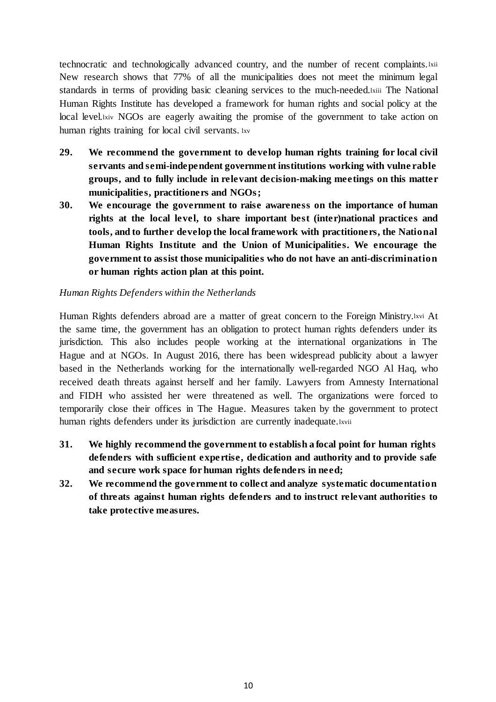technocratic and technologically advanced country, and the number of recent complaints.lxii New research shows that 77% of all the municipalities does not meet the minimum legal standards in terms of providing basic cleaning services to the much-needed.lxiii The National Human Rights Institute has developed a framework for human rights and social policy at the local level.lxiv NGOs are eagerly awaiting the promise of the government to take action on human rights training for local civil servants. lxv

- **29. We recommend the government to develop human rights training for local civil servants and semi-independent government institutions working with vulne rable groups, and to fully include in relevant decision-making meetings on this matter municipalities, practitioners and NGOs;**
- **30. We encourage the government to raise awareness on the importance of human rights at the local level, to share important best (inter)national practices and tools, and to further develop the local framework with practitioners, the National Human Rights Institute and the Union of Municipalities. We encourage the government to assist those municipalities who do not have an anti-discrimination or human rights action plan at this point.**

## *Human Rights Defenders within the Netherlands*

Human Rights defenders abroad are a matter of great concern to the Foreign Ministry.lxvi At the same time, the government has an obligation to protect human rights defenders under its jurisdiction. This also includes people working at the international organizations in The Hague and at NGOs. In August 2016, there has been widespread publicity about a lawyer based in the Netherlands working for the internationally well-regarded NGO Al Haq, who received death threats against herself and her family. Lawyers from Amnesty International and FIDH who assisted her were threatened as well. The organizations were forced to temporarily close their offices in The Hague. Measures taken by the government to protect human rights defenders under its jurisdiction are currently inadequate.lxvii

- **31. We highly recommend the government to establish a focal point for human rights defenders with sufficient expe rtise, dedication and authority and to provide safe and secure work space for human rights defenders in need;**
- **32. We recommend the government to collect and analyze systematic documentation of threats against human rights defenders and to instruct relevant authorities to take protective measures.**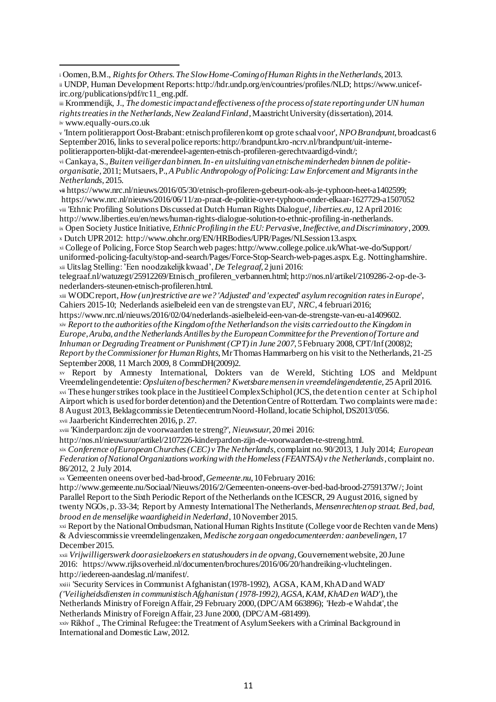ix Open Society Justice Initiative, *Ethnic Profiling in the EU: Pervasive, Ineffective, and Discriminatory*, 2009. <sup>x</sup> Dutch UPR 2012: http://www.ohchr.org/EN/HRBodies/UPR/Pages/NLSession13.aspx.

xi College of Policing, Force Stop Search web pages: http://www.college.police.uk/What-we-do/Support/ uniformed-policing-faculty/stop-and-search/Pages/Force-Stop-Search-web-pages.aspx. E.g. Nottinghamshire. xii Uitslag Stelling: 'Een noodzakelijk kwaad', *De Telegraaf*, 2 juni 2016:

telegraaf.nl/watuzegt/25912269/Etnisch\_profileren\_verbannen.html; http://nos.nl/artikel/2109286-2-op-de-3 nederlanders-steunen-etnisch-profileren.html.

xiii WODC report, *How (un)restrictive are we? 'Adjusted' and 'expected' asylum recognition rates in Europe*', Cahiers 2015-10; Nederlands asielbeleid een van de strengste van EU', *NRC*, 4 februari 2016;

https://www.nrc.nl/nieuws/2016/02/04/nederlands-asielbeleid-een-van-de-strengste-van-eu-a1409602. xiv *Report to the authorities of the Kingdom of the Netherlands on the visits carried out to the Kingdom in Europe, Aruba, and the Netherlands Antilles by the European Committee for the Prevention of Torture and Inhuman or Degrading Treatment or Punishment (CPT) in June 2007*, 5 February 2008, CPT/Inf (2008)2; *Report by the Commissioner for Human Rights*, Mr Thomas Hammarberg on his visit to the Netherlands, 21-25 September 2008, 11 March 2009, 8 CommDH(2009)2.

xv Report by Amnesty International, Dokters van de Wereld, Stichting LOS and Meldpunt Vreemdelingendetentie: *Opsluiten of beschermen? Kwetsbare mensen in vreemdelingendetentie*, 25 April 2016. xvi These hunger strikes took place in the JustitieelComplex Schiphol (JCS, the detention center at Schiphol Airport which is used for border detention) and the Detention Centre of Rotterdam. Two complaints were made: 8 August 2013, Beklagcommissie Detentiecentrum Noord-Holland, locatie Schiphol, DS2013/056.

xvii Jaarbericht Kinderrechten 2016, p. 27.

xviii 'Kinderpardon: zijn de voorwaarden te streng?', *Nieuwsuur*, 20 mei 2016:

http://nos.nl/nieuwsuur/artikel/2107226-kinderpardon-zijn-de-voorwaarden-te-streng.html. xix *Conference of European Churches (CEC) v The Netherlands*, complaint no. 90/2013, 1 July 2014; *European* 

*Federation of National Organizations working with the Homeless (FEANTSA) v the Netherlands*, complaint no. 86/2012, 2 July 2014.

xx 'Gemeenten oneens over bed-bad-brood', *Gemeente.nu*, 10 February 2016:

http://www.gemeente.nu/Sociaal/Nieuws/2016/2/Gemeenten-oneens-over-bed-bad-brood-2759137W/; Joint Parallel Report to the Sixth Periodic Report of the Netherlands on the ICESCR, 29 August 2016, signed by twenty NGOs, p. 33-34; Report by Amnesty International The Netherlands, *Mensenrechten op straat. Bed, bad, brood en de menselijke waardigheid in Nederland*, 10 November 2015.

xxi Report by the National Ombudsman, National Human Rights Institute (College voor de Rechten van de Mens) & Adviescommissie vreemdelingenzaken, *Medische zorg aan ongedocumenteerden: aanbevelingen*, 17 December 2015.

xxii *Vrijwilligerswerk door asielzoekers en statushouders in de opvang*, Gouvernement website, 20 June 2016: https://www.rijksoverheid.nl/documenten/brochures/2016/06/20/handreiking-vluchtelingen. http://iedereen-aandeslag.nl/manifest/.

xxiii 'Security Services in Communist Afghanistan (1978-1992), AGSA, KAM, KhAD and WAD' *('Veiligheidsdiensten in communistisch Afghanistan (1978-1992), AGSA, KAM, KhAD en WAD'*), the Netherlands Ministry of Foreign Affair, 29 February 2000, (DPC/AM 663896); 'Hezb-e Wahdat', the Netherlands Ministry of Foreign Affair, 23 June 2000, (DPC/AM-681499).

xxiv Rikhof ., The Criminal Refugee: the Treatment of Asylum Seekers with a Criminal Background in International and Domestic Law, 2012.

<sup>1</sup> <sup>i</sup> Oomen, B.M., *Rights for Others. The Slow Home-Coming of Human Rights in the Netherlands*, 2013. ii UNDP, Human Development Reports: http://hdr.undp.org/en/countries/profiles/NLD; https://www.unicefirc.org/publications/pdf/rc11\_eng.pdf.

iii Krommendijk, J., *The domestic impact and effectiveness of the process of state reporting under UN human rights treaties in the Netherlands, New Zealand Finland*, Maastricht University (dissertation), 2014. iv www.equally-ours.co.uk

<sup>v</sup> 'Intern politierapport Oost-Brabant: etnisch profileren komt op grote schaal voor', *NPO Brandpunt*, broadcast 6 September 2016, links to several police reports: http://brandpunt.kro-ncrv.nl/brandpunt/uit-internepolitierapporten-blijkt-dat-merendeel-agenten-etnisch-profileren-gerechtvaardigd-vindt/;

vi Cankaya, S., *Buiten veiliger dan binnen. In- en uitsluiting van etnische minderheden binnen de politieorganisatie*, 2011; Mutsaers, P., *A Public Anthropology of Policing: Law Enforcement and Migrants in the Netherlands*, 2015.

**vii** https://www.nrc.nl/nieuws/2016/05/30/etnisch-profileren-gebeurt-ook-als-je-typhoon-heet-a1402599; https://www.nrc.nl/nieuws/2016/06/11/zo-praat-de-politie-over-typhoon-onder-elkaar-1627729-a1507052 viii 'Ethnic Profiling Solutions Discussed at Dutch Human Rights Dialogue', *liberties.eu*, 12 April 2016: http://www.liberties.eu/en/news/human-rights-dialogue-solution-to-ethnic-profiling-in-netherlands.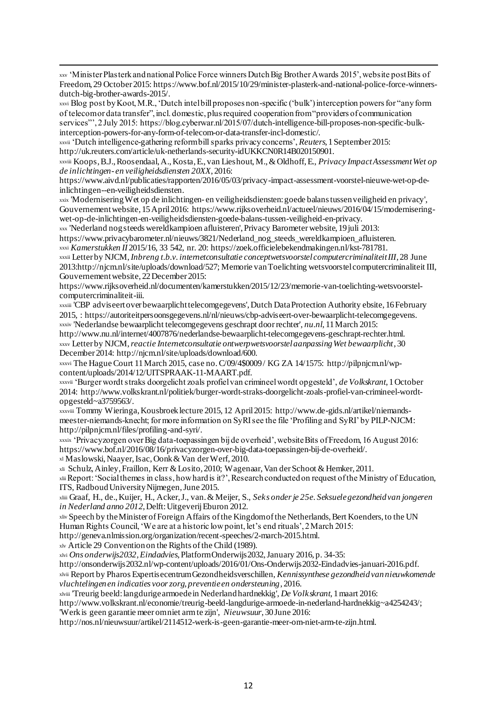1 xxv 'Minister Plasterk and national Police Force winners Dutch Big Brother Awards 2015', website post Bits of Freedom, 29 October 2015: https://www.bof.nl/2015/10/29/minister-plasterk-and-national-police-force-winnersdutch-big-brother-awards-2015/.

xxvi Blog post by Koot, M.R., 'Dutch intel bill proposes non-specific ('bulk') interception powers for "any form of telecom or data transfer", incl. domestic, plus required cooperation from "providers of communication services"', 2 July 2015: https://blog.cyberwar.nl/2015/07/dutch-intelligence-bill-proposes-non-specific-bulkinterception-powers-for-any-form-of-telecom-or-data-transfer-incl-domestic/.

xxvii 'Dutch intelligence-gathering reform bill sparks privacy concerns', *Reuters*, 1 September 2015: http://uk.reuters.com/article/uk-netherlands-security-idUKKCN0R14B020150901.

xxviii Koops, B.J., Roosendaal, A., Kosta, E., van Lieshout, M.,& Oldhoff, E., *Privacy Impact Assessment Wet op de inlichtingen- en veiligheidsdiensten 20XX*, 2016:

https://www.aivd.nl/publicaties/rapporten/2016/05/03/privacy-impact-assessment-voorstel-nieuwe-wet-op-deinlichtingen--en-veiligheidsdiensten.

xxix 'Modernisering Wet op de inlichtingen- en veiligheidsdiensten: goede balans tussen veiligheid en privacy', Gouvernement website, 15 April 2016: https://www.rijksoverheid.nl/actueel/nieuws/2016/04/15/moderniseringwet-op-de-inlichtingen-en-veiligheidsdiensten-goede-balans-tussen-veiligheid-en-privacy.

xxx 'Nederland nog steeds wereldkampioen afluisteren', Privacy Barometer website, 19 juli 2013:

https://www.privacybarometer.nl/nieuws/3821/Nederland\_nog\_steeds\_wereldkampioen\_afluisteren. xxxi *Kamerstukken II* 2015/16, 33 542, nr. 20: https://zoek.officielebekendmakingen.nl/kst-781781.

xxxii Letter by NJCM, *Inbreng t.b.v. internetconsultatie conceptwetsvoorstel computercriminaliteit III*, 28 June 2013:http://njcm.nl/site/uploads/download/527; Memorie van Toelichting wetsvoorstel computercriminaliteit III, Gouvernement website, 22 December 2015:

https://www.rijksoverheid.nl/documenten/kamerstukken/2015/12/23/memorie-van-toelichting-wetsvoorstelcomputercriminaliteit-iii.

xxxiii 'CBP adviseert over bewaarplicht telecomgegevens', Dutch Data Protection Authority ebsite, 16 February 2015, : https://autoriteitpersoonsgegevens.nl/nl/nieuws/cbp-adviseert-over-bewaarplicht-telecomgegevens. xxxiv 'Nederlandse bewaarplicht telecomgegevens geschrapt door rechter', *nu.nl*, 11 March 2015:

http://www.nu.nl/internet/4007876/nederlandse-bewaarplicht-telecomgegevens-geschrapt-rechter.html. xxxv Letter by NJCM, *reactie Internetconsultatie ontwerpwetsvoorstel aanpassing Wet bewaarplicht*, 30 December 2014: http://njcm.nl/site/uploads/download/600.

xxxvi The Hague Court 11 March 2015, case no. C/09/4\$0009 / KG ZA 14/1575: http://pilpnjcm.nl/wpcontent/uploads/2014/12/UITSPRAAK-11-MAART.pdf.

xxxvii 'Burger wordt straks doorgelicht zoals profiel van crimineel wordt opgesteld', *de Volkskrant*, 1 October 2014: http://www.volkskrant.nl/politiek/burger-wordt-straks-doorgelicht-zoals-profiel-van-crimineel-wordtopgesteld~a3759563/.

xxxviii Tommy Wieringa, Kousbroek lecture 2015, 12 April 2015: http://www.de-gids.nl/artikel/niemandsmeester-niemands-knecht; for more information on SyRI see the file 'Profiling and SyRI' by PILP-NJCM: http://pilpnjcm.nl/files/profiling-and-syri/.

xxxix 'Privacyzorgen over Big data-toepassingen bij de overheid', website Bits of Freedom, 16 August 2016: https://www.bof.nl/2016/08/16/privacyzorgen-over-big-data-toepassingen-bij-de-overheid/. xl Maslowski, Naayer, Isac, Oonk & Van der Werf, 2010.

xli Schulz, Ainley, Fraillon, Kerr & Losito, 2010; Wagenaar, Van der Schoot & Hemker, 2011.

xliiReport: 'Social themes in class, how hard is it?', Research conducted on request of the Ministry of Education, ITS, Radboud University Nijmegen, June 2015.

xliii Graaf, H., de., Kuijer, H., Acker, J., van. & Meijer, S., *Seks onder je 25e. Seksuele gezondheid van jongeren in Nederland anno 2012*, Delft: Uitgeverij Eburon 2012.

xliv Speech by the Minister of Foreign Affairs of the Kingdom of the Netherlands, Bert Koenders, to the UN Human Rights Council, 'We are at a historic low point, let's end rituals', 2 March 2015:

http://geneva.nlmission.org/organization/recent-speeches/2-march-2015.html.

xlv Article 29 Convention on the Rights of the Child (1989).

xlvi *Ons onderwijs2032, Eindadvies*, Platform Onderwijs2032, January 2016, p. 34-35:

http://onsonderwijs2032.nl/wp-content/uploads/2016/01/Ons-Onderwijs2032-Eindadvies-januari-2016.pdf.

xlvii Report by Pharos Expertisecentrum Gezondheidsverschillen, *Kennissynthese gezondheid van nieuwkomende vluchtelingen en indicaties voor zorg, preventie en ondersteuning*, 2016.

xlviii 'Treurig beeld: langdurige armoede in Nederland hardnekkig', *De Volkskrant*, 1 maart 2016:

http://www.volkskrant.nl/economie/treurig-beeld-langdurige-armoede-in-nederland-hardnekkig~a4254243/; 'Werk is geen garantie meer om niet arm te zijn', *Nieuwsuur*, 30 June 2016:

http://nos.nl/nieuwsuur/artikel/2114512-werk-is-geen-garantie-meer-om-niet-arm-te-zijn.html.